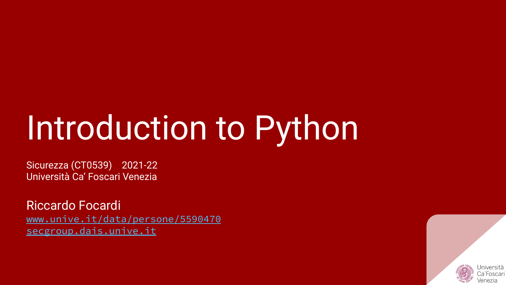# Introduction to Python

Sicurezza (CT0539) 2021-22 Università Ca' Foscari Venezia

Riccardo Focardi [www.unive.it/data/persone/5590470](https://www.unive.it/data/persone/5590470) [secgroup.dais.unive.it](https://secgroup.dais.unive.it/teaching/security-1/)

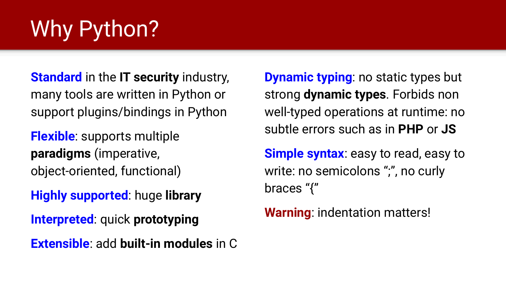# Why Python?

**Standard** in the **IT security** industry, many tools are written in Python or support plugins/bindings in Python

**Flexible**: supports multiple **paradigms** (imperative, object-oriented, functional)

**Highly supported**: huge **library**

**Interpreted**: quick **prototyping**

**Extensible**: add **built-in modules** in C

**Dynamic typing**: no static types but strong **dynamic types**. Forbids non well-typed operations at runtime: no subtle errors such as in **PHP** or **JS**

**Simple syntax**: easy to read, easy to write: no semicolons ";", no curly braces "{"

**Warning**: indentation matters!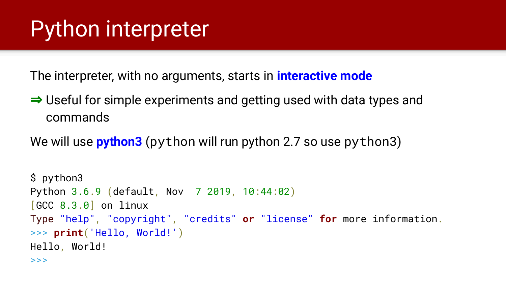### Python interpreter

The interpreter, with no arguments, starts in **interactive mode**

⇒ Useful for simple experiments and getting used with data types and commands

We will use **python3** (python will run python 2.7 so use python3)

```
$ python3
Python 3.6.9 (default, Nov 7 2019, 10:44:02)
[GC 8.3.0] on linux
Type "help", "copyright", "credits" or "license" for more information.
>>> print('Hello, World!')
Hello, World!
>>>
```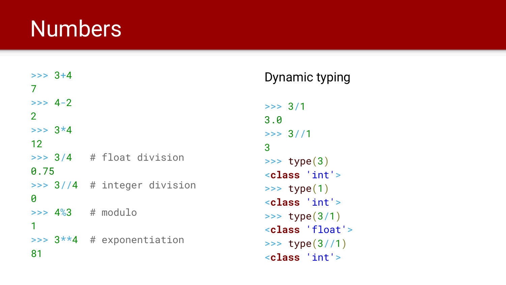#### **Numbers**

| $>>$ 3+4                   |  |                               |
|----------------------------|--|-------------------------------|
| 7                          |  |                               |
| $>> 4-2$                   |  |                               |
| $\overline{2}$             |  |                               |
| $>>$ 3 $*4$                |  |                               |
| 12                         |  |                               |
|                            |  | $\gg$ 3/4 # float division    |
| 0.75                       |  |                               |
|                            |  | $\gg$ 3//4 # integer division |
| 0                          |  |                               |
| $\Rightarrow$ 4%3 # modulo |  |                               |
| 1                          |  |                               |
|                            |  | >>> $3**4$ # exponentiation   |
| 81                         |  |                               |

#### Dynamic typing

```
>> 3/13.0
>> 3//13
\Rightarrow type(3)<class 'int'>
\Rightarrow type(1)
<class 'int'>
\gg type(3/1)
<class 'float'>
>>> type(3//1)<class 'int'>
```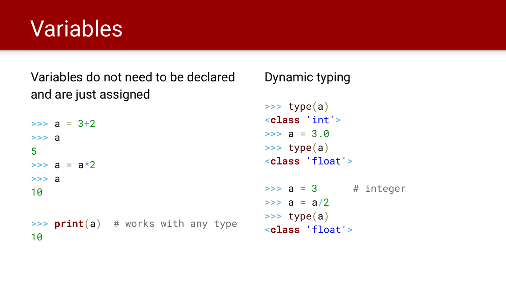### Variables

Variables do not need to be declared and are just assigned

 $\Rightarrow$  a =  $3+2$  $>>$  a 5  $\Rightarrow$  a =  $a * 2$  $>>$  a 10 >>> **print**(a) # works with any type 10

#### Dynamic typing

```
\gg type(a)
<class 'int'>
\Rightarrow a = 3.0
\gg type(a)
<class 'float'>
\Rightarrow a = 3 # integer
\Rightarrow a = a/2
\gg type(a)
<class 'float'>
```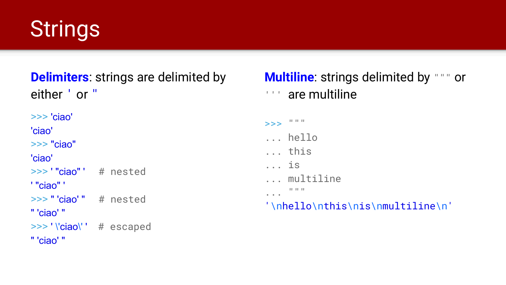### **Strings**

#### **Delimiters**: strings are delimited by either ' or "

```
>>> 'ciao'
'ciao'
>>> "ciao"
'ciao'
>>> ' "ciao" ' # nested
' "ciao" '
>>> " 'ciao' " # nested
" 'ciao' "
>>> ' \'ciao\' ' # escaped
" 'ciao' "
```
#### **Multiline:** strings delimited by """ or ''' are multiline

#### >>> """ ... hello ... this ... is ... multiline ... """ '\nhello\nthis\nis\nmultiline\n'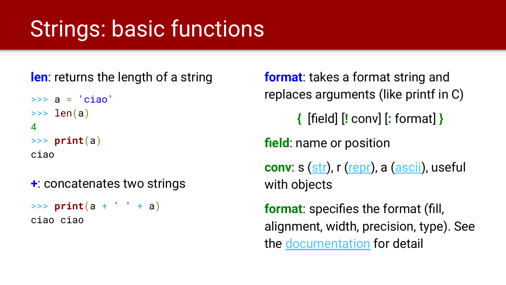### Strings: basic functions

**len**: returns the length of a string

```
\Rightarrow a = 'ciao'
\gg len(a)
4
>>> print(a)
ciao
```
**+**: concatenates two strings

 $\Rightarrow$  **print**(a +  $'$   $'$  + a) ciao ciao

**format**: takes a format string and replaces arguments (like printf in C) **{** [field] [**!** conv] [**:** format] **} field**: name or position **conv**: s ([str](https://docs.python.org/3/library/stdtypes.html#str)), r ([repr\)](https://docs.python.org/3/library/functions.html#repr), a [\(ascii\)](https://docs.python.org/3/library/functions.html#ascii), useful with objects **format**: specifies the format (fill, alignment, width, precision, type). See the [documentation](https://docs.python.org/3.4/library/string.html#format-specification-mini-language) for detail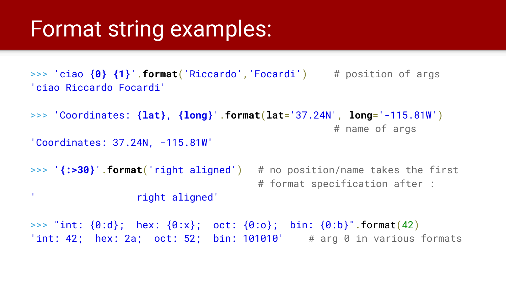#### Format string examples:

>>> 'ciao **{0} {1}**'.**format**('Riccardo','Focardi') # position of args 'ciao Riccardo Focardi'

```
>>> 'Coordinates: {lat}, {long}'.format(lat='37.24N', long='-115.81W')
                                                   # name of args
```

```
'Coordinates: 37.24N, -115.81W'
```
>>> '**{:>30}**'.**format**('right aligned') # no position/name takes the first # format specification after : ' right aligned'

>>> "int: {0:d}; hex: {0:x}; oct: {0:o}; bin: {0:b}".format(42) 'int: 42; hex: 2a; oct: 52; bin: 101010'  $\#$  arg 0 in various formats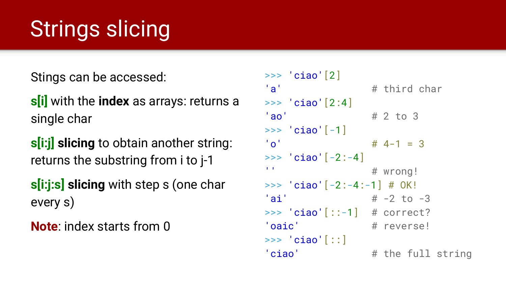# Strings slicing

Stings can be accessed:

**s[i]** with the **index** as arrays: returns a single char

**s[i:j] slicing** to obtain another string: returns the substring from i to j-1

**s[i:j:s] slicing** with step s (one char every s)

**Note**: index starts from 0

```
\gg 'ciao'[2]
'a' \qquad \qquad # third char
\gg 'ciao'[2:4]
'ao' # 2 to 3
\gg 'ciao'[-1]
'o' # 4-1 = 3
\gg 'ciao'[-2:-4]
\mathbf{I} \in \mathbf{I} # wrong!
\text{>>} 'ciao'[-2:-4:-1] # OK!
'ai' \# -2 \text{ to } -3\Rightarrow 'ciao'[::-1] # correct?
'oaic' # reverse!
>>> 'ciao'[::] 
'ciao' # the full string
```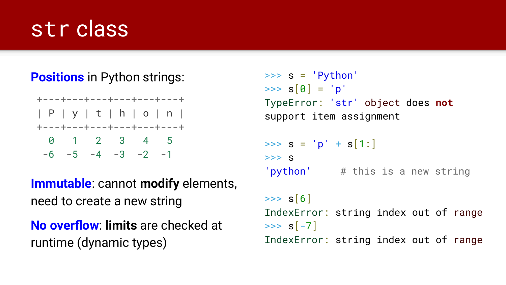#### str class

#### **Positions** in Python strings:



**Immutable**: cannot **modify** elements, need to create a new string

**No overflow**: **limits** are checked at runtime (dynamic types)

```
\Rightarrow s = 'Python'>> s[0] = 'p'TypeError: 'str' object does not
support item assignment
\Rightarrow \Rightarrow s = 'p' + s[1:]>> S'python' # this is a new string
>> s[6]
IndexError: string index out of range
>> s[-7]
IndexError: string index out of range
```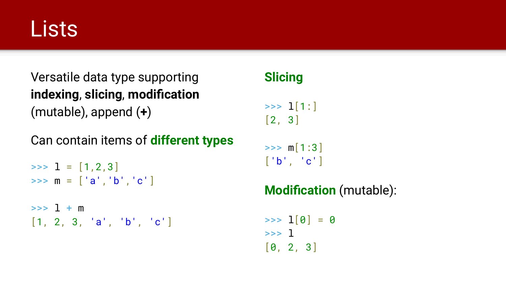### **Lists**

Versatile data type supporting **indexing**, **slicing**, **modification** (mutable), append (**+**)

Can contain items of **different types**

 $\Rightarrow$   $\frac{1}{1} = [1, 2, 3]$  $\Rightarrow$   $m = [\ a', 'b', 'c']$ 

 $\Rightarrow$   $\frac{1}{1} + m$ [1, 2, 3, 'a', 'b', 'c']

#### **Slicing**

 $\gg$   $\frac{1}{1}$   $\frac{1}{1}$ [2, 3]

 $\gg$  m[1:3]  $\lceil$ 'b', 'c']

#### **Modification** (mutable):

 $\gg$   $\frac{1}{0}$  = 0 >>> l [0, 2, 3]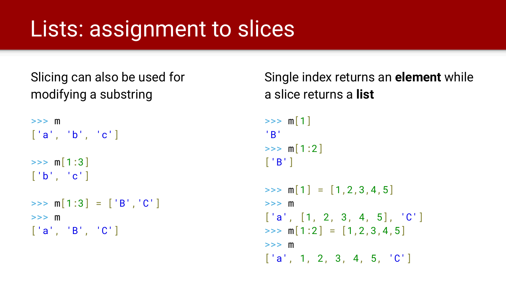### Lists: assignment to slices

```
Slicing can also be used for 
modifying a substring
```

```
>>> m
['a', 'b', 'c']
\gg m[1:3]
\lceil'b', 'c']
\Rightarrow m[1:3] = ['B', 'C']
>> m
['a', 'B', 'C']
```
Single index returns an **element** while a slice returns a **list**  $>>$  m[1] 'B'  $\gg$  m[1:2]  $\lceil$  'B']  $\Rightarrow$   $\text{m}[1] = [1, 2, 3, 4, 5]$ >>> m  $\begin{bmatrix} 1 & 1 \\ 2 & 3 \\ 4 & 5 \end{bmatrix}$ ,  $\begin{bmatrix} 1 & 2 \\ 3 & 4 \end{bmatrix}$  $\Rightarrow$  m[1:2] = [1,2,3,4,5] >>> m  $\begin{bmatrix} 1 & 2 & 3 & 4 & 5 & 1 \end{bmatrix}$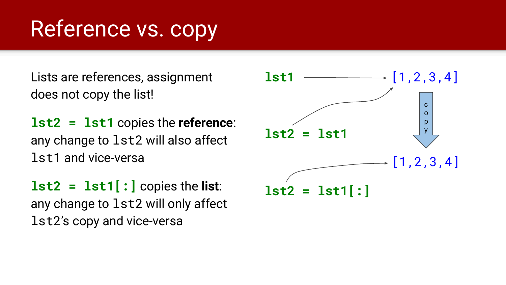### Reference vs. copy

Lists are references, assignment does not copy the list!

**lst2 = lst1** copies the **reference**: any change to lst2 will also affect lst1 and vice-versa

**lst2 = lst1[:]** copies the **list**: any change to lst2 will only affect lst2's copy and vice-versa

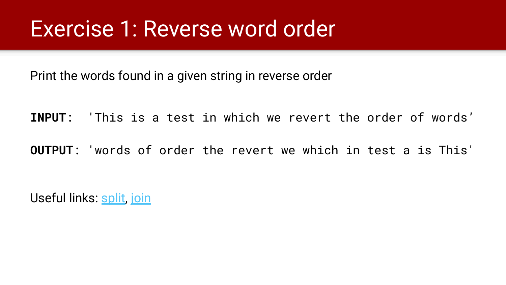#### Exercise 1: Reverse word order

Print the words found in a given string in reverse order

**INPUT**: 'This is a test in which we revert the order of words'

**OUTPUT**: 'words of order the revert we which in test a is This'

Useful links: [split](https://docs.python.org/3/library/stdtypes.html#str.split), [join](https://docs.python.org/3/library/stdtypes.html#str.join)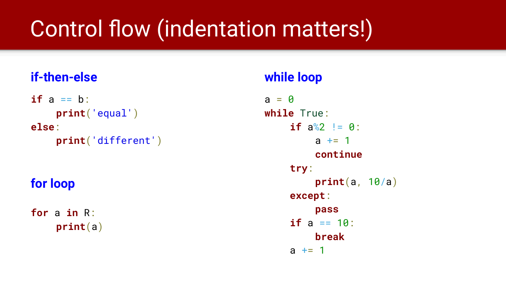### Control flow (indentation matters!)

#### **if-then-else**

 $if a == b$ : **print**('equal') **else**: **print**('different')

#### **for loop**

**for** a **in** R: **print**(a)

#### **while loop**

 $a = 0$ **while** True: **if**  $a\&2 := 0$ :  $a + = 1$ **continue try**: **print**(a, 10/a) **except**: **pass if**  $a == 10$ : **break**  $a + = 1$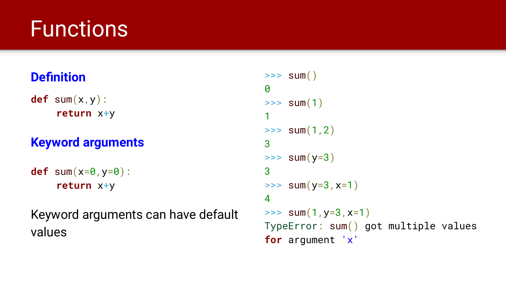### **Functions**

#### **Definition**

**def** sum(x,y): **return** x+y

#### **Keyword arguments**

```
def sum(x=0,y=0):
    return x+y
```
Keyword arguments can have default values

```
\Rightarrow sum()
\boldsymbol{\theta}\Rightarrow sum(1)
1
\gg sum(1,2)
3
\Rightarrow sum(y=3)
3
\Rightarrow sum(y=3, x=1)
4
\Rightarrow sum(1, y=3, x=1)
TypeError: sum() got multiple values
for argument 'x'
```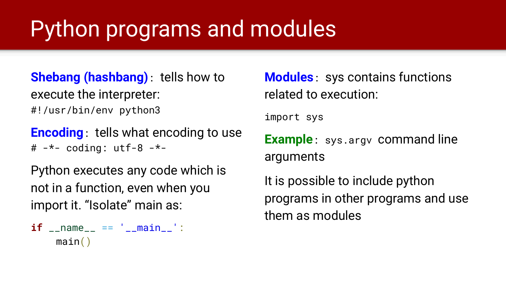## Python programs and modules

**Shebang (hashbang)**: tells how to execute the interpreter: #!/usr/bin/env python3

**Encoding**: tells what encoding to use  $#$   $-*$ - coding: utf-8  $-*$ -

Python executes any code which is not in a function, even when you import it. "Isolate" main as:



**Modules**: sys contains functions related to execution:

import sys

**Example**: sys.argy command line arguments

It is possible to include python programs in other programs and use them as modules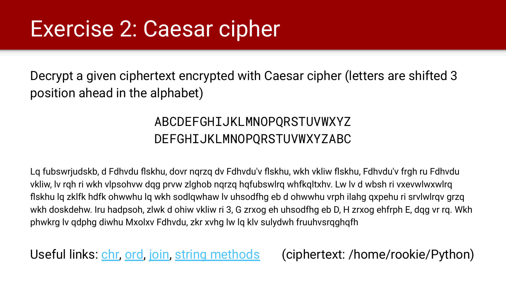### Exercise 2: Caesar cipher

Decrypt a given ciphertext encrypted with Caesar cipher (letters are shifted 3 position ahead in the alphabet)

#### ABCDEFGHIJKLMNOPQRSTUVWXYZ DEFGHIJKLMNOPQRSTUVWXYZABC

Lq fubswrjudskb, d Fdhvdu flskhu, dovr nqrzq dv Fdhvdu'v flskhu, wkh vkliw flskhu, Fdhvdu'v frgh ru Fdhvdu vkliw, lv rqh ri wkh vlpsohvw dqg prvw zlghob nqrzq hqfubswlrq whfkqltxhv. Lw lv d wbsh ri vxevwlwxwlrq flskhu lq zklfk hdfk ohwwhu lq wkh sodlqwhaw lv uhsodfhg eb d ohwwhu vrph ilahg qxpehu ri srvlwlrqv grzq wkh doskdehw. Iru hadpsoh, zlwk d ohiw vkliw ri 3, G zrxog eh uhsodfhg eb D, H zrxog ehfrph E, dqg vr rq. Wkh phwkrg lv qdphg diwhu Mxolxv Fdhvdu, zkr xvhg lw lq klv sulydwh fruuhvsrqghqfh

Useful links: *chr. [ord](https://docs.python.org/3/library/functions.html#ord).* [join](https://docs.python.org/3/library/stdtypes.html#str.join), [string methods](https://docs.python.org/3/library/stdtypes.html#string-methods) (ciphertext: /home/rookie/Python)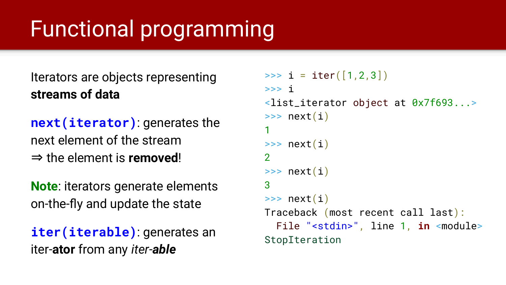### Functional programming

Iterators are objects representing **streams of data**

**next(iterator)**: generates the next element of the stream ⇒ the element is **removed**!

**Note**: iterators generate elements on-the-fly and update the state

**iter(iterable)**: generates an iter-**ator** from any *iter-able*

```
\Rightarrow i = iter([1,2,3])
>>> i
<list_iterator object at 0x7f693...>
\gg next(i)
1
\gg next(i)
\mathcal{P}\gg next(i)
3
\gg next(i)
Traceback (most recent call last):
   File "<stdin>", line 1, in <module>
StopIteration
```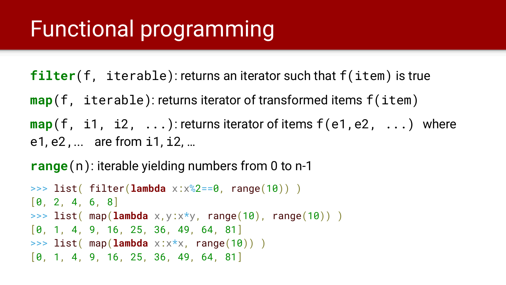### Functional programming

**filter**(f, iterable): returns an iterator such that f(item) is true

**map**(f, iterable): returns iterator of transformed items f(item)

**map**(f, i1, i2, ...): returns iterator of items  $f(e1, e2, ...)$  where e1, e2,... are from i1, i2, …

**range**(n): iterable yielding numbers from 0 to n-1

```
>>> list( filter(lambda x:x%2==0, range(10)) )
[0, 2, 4, 6, 8]
>>> list( map(lambda x,y:x*y, range(10), range(10)) )
[0, 1, 4, 9, 16, 25, 36, 49, 64, 81]>>> list( map(lambda x:x*x, range(10)) )
[0, 1, 4, 9, 16, 25, 36, 49, 64, 81]
```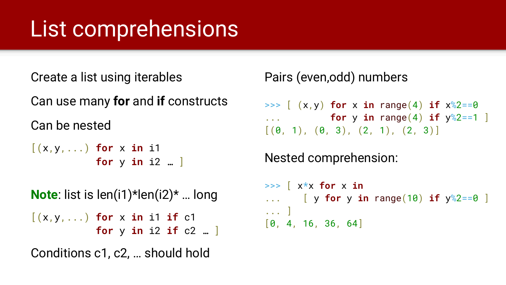### List comprehensions

Create a list using iterables

Can use many **for** and **if** constructs Can be nested

[(x,y,...) **for** x **in** i1 **for** y **in** i2 … ]

**Note**: list is len(i1)\*len(i2)\* … long [(x,y,...) **for** x **in** i1 **if** c1 **for** y **in** i2 **if** c2 … ]

Conditions c1, c2, … should hold

Pairs (even,odd) numbers

 $\Rightarrow$  [ (x,y) **for** x **in** range(4) **if**  $x\sqrt{2}=-0$ ... **for** y **in** range(4) **if**  $y\%2 == 1$  $[(0, 1), (0, 3), (2, 1), (2, 3)]$ 

Nested comprehension:

```
>>> [ x*x for x in
... [ y for y in range(10) if y%2==0 ]
... ]
[0, 4, 16, 36, 64]
```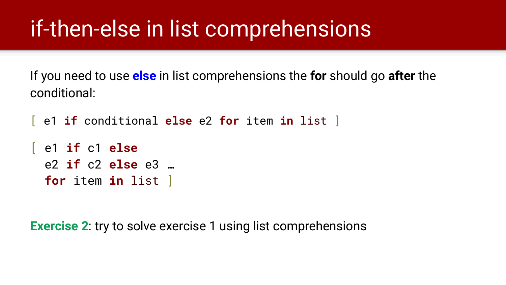### if-then-else in list comprehensions

If you need to use **else** in list comprehensions the **for** should go **after** the conditional:

[ e1 **if** conditional **else** e2 **for** item **in** list ]

```
[ e1 if c1 else
  e2 if c2 else e3 … 
  for item in list ]
```
**Exercise 2:** try to solve exercise 1 using list comprehensions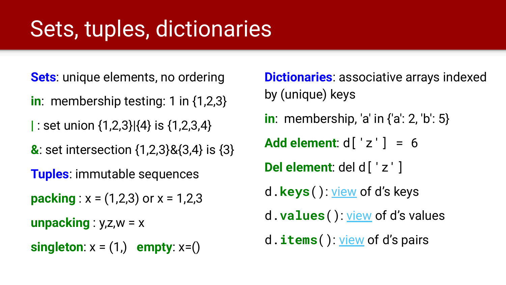### Sets, tuples, dictionaries

**Sets**: unique elements, no ordering

- **in**: membership testing: 1 in {1,2,3}
- **|** : set union {1,2,3}|{4} is {1,2,3,4}

**&**: set intersection {1,2,3}&{3,4} is {3}

**Tuples**: immutable sequences

**packing** :  $x = (1,2,3)$  or  $x = 1,2,3$ 

**unpacking** :  $y$ ,  $z$ ,  $w = x$ 

**singleton**:  $x = (1)$  **empty**:  $x=()$ 

**Dictionaries**: associative arrays indexed by (unique) keys **in**: membership, 'a' in {'a': 2, 'b': 5} **Add element**: d['z'] = 6 **Del element**: del d['z'] d.**keys**(): [view](https://docs.python.org/3/library/stdtypes.html?highlight=keys#dict-views) of d's keys d.**values**(): [view](https://docs.python.org/3/library/stdtypes.html?highlight=keys#dict-views) of d's values d.**items**(): [view](https://docs.python.org/3/library/stdtypes.html?highlight=keys#dict-views) of d's pairs